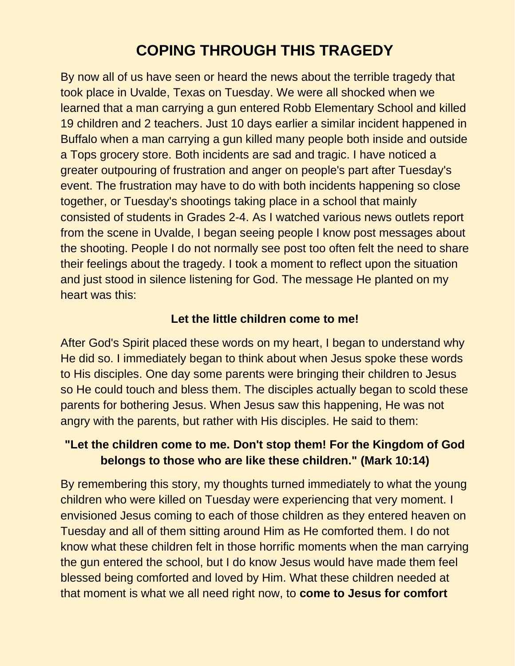## **COPING THROUGH THIS TRAGEDY**

By now all of us have seen or heard the news about the terrible tragedy that took place in Uvalde, Texas on Tuesday. We were all shocked when we learned that a man carrying a gun entered Robb Elementary School and killed 19 children and 2 teachers. Just 10 days earlier a similar incident happened in Buffalo when a man carrying a gun killed many people both inside and outside a Tops grocery store. Both incidents are sad and tragic. I have noticed a greater outpouring of frustration and anger on people's part after Tuesday's event. The frustration may have to do with both incidents happening so close together, or Tuesday's shootings taking place in a school that mainly consisted of students in Grades 2-4. As I watched various news outlets report from the scene in Uvalde, I began seeing people I know post messages about the shooting. People I do not normally see post too often felt the need to share their feelings about the tragedy. I took a moment to reflect upon the situation and just stood in silence listening for God. The message He planted on my heart was this:

## **Let the little children come to me!**

After God's Spirit placed these words on my heart, I began to understand why He did so. I immediately began to think about when Jesus spoke these words to His disciples. One day some parents were bringing their children to Jesus so He could touch and bless them. The disciples actually began to scold these parents for bothering Jesus. When Jesus saw this happening, He was not angry with the parents, but rather with His disciples. He said to them:

## **"Let the children come to me. Don't stop them! For the Kingdom of God belongs to those who are like these children." (Mark 10:14)**

By remembering this story, my thoughts turned immediately to what the young children who were killed on Tuesday were experiencing that very moment. I envisioned Jesus coming to each of those children as they entered heaven on Tuesday and all of them sitting around Him as He comforted them. I do not know what these children felt in those horrific moments when the man carrying the gun entered the school, but I do know Jesus would have made them feel blessed being comforted and loved by Him. What these children needed at that moment is what we all need right now, to **come to Jesus for comfort**